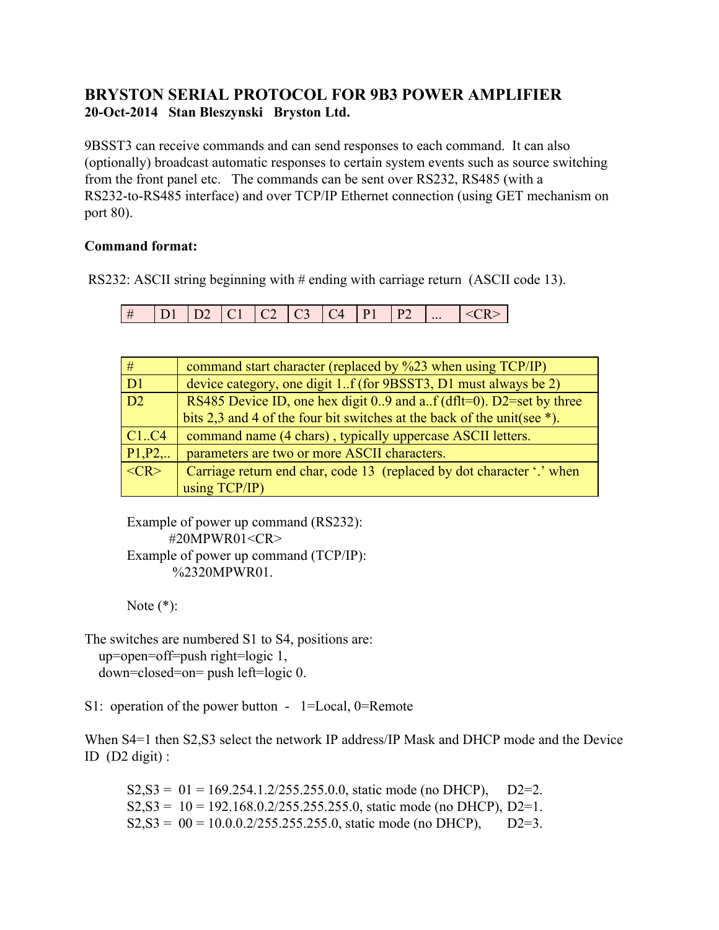## **BRYSTON SERIAL PROTOCOL FOR 9B3 POWER AMPLIFIER 20-Oct-2014 Stan Bleszynski Bryston Ltd.**

9BSST3 can receive commands and can send responses to each command. It can also (optionally) broadcast automatic responses to certain system events such as source switching from the front panel etc. The commands can be sent over RS232, RS485 (with a RS232-to-RS485 interface) and over TCP/IP Ethernet connection (using GET mechanism on port 80).

## **Command format:**

RS232: ASCII string beginning with # ending with carriage return (ASCII code 13).

| # |  |  |  |  | $\vdash$   D1   D2   C1   C2   C3   C4   P1   P2      <cr>  </cr> |
|---|--|--|--|--|-------------------------------------------------------------------|
|   |  |  |  |  |                                                                   |

| #              | command start character (replaced by %23 when using TCP/IP)                 |
|----------------|-----------------------------------------------------------------------------|
| D <sub>1</sub> | device category, one digit 1f (for 9BSST3, D1 must always be 2)             |
| D2             | RS485 Device ID, one hex digit $0.9$ and a. f (dflt=0). D2=set by three     |
|                | bits 2,3 and 4 of the four bit switches at the back of the unit (see $*$ ). |
| Cl. C4         | command name (4 chars), typically uppercase ASCII letters.                  |
| P1, P2,        | parameters are two or more ASCII characters.                                |
| $<$ CR $>$     | Carriage return end char, code 13 (replaced by dot character '.' when       |
|                | using TCP/IP)                                                               |

Example of power up command (RS232): #20MPWR01<CR> Example of power up command (TCP/IP): %2320MPWR01.

Note  $(*)$ :

The switches are numbered S1 to S4, positions are: up=open=off=push right=logic 1, down=closed=on= push left=logic 0.

S1: operation of the power button - 1=Local, 0=Remote

When S4=1 then S2, S3 select the network IP address/IP Mask and DHCP mode and the Device ID  $(D2 \text{ digit})$ :

 $S2, S3 = 01 = 169.254.1.2/255.255.0.0$ , static mode (no DHCP), D2=2.  $S2, S3 = 10 = 192.168.0.2/255.255.255.0$ , static mode (no DHCP), D2=1.  $S2, S3 = 00 = 10.0.0.2/255.255.255.0$ , static mode (no DHCP), D2=3.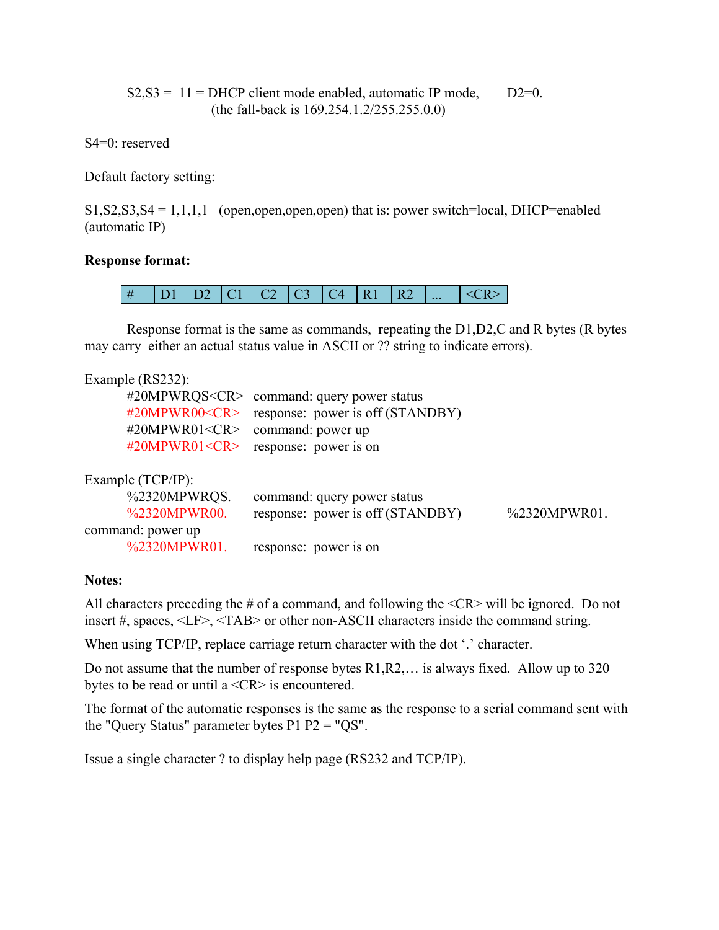$S2, S3 = 11$  = DHCP client mode enabled, automatic IP mode, D2=0. (the fall-back is 169.254.1.2/255.255.0.0)

S4=0: reserved

Default factory setting:

 $S1, S2, S3, S4 = 1, 1, 1, 1$  (open, open, open, open) that is: power switch=local, DHCP=enabled (automatic IP)

## **Response format:**



Response format is the same as commands, repeating the D1,D2,C and R bytes (R bytes may carry either an actual status value in ASCII or ?? string to indicate errors).

| Example (RS232): |  |
|------------------|--|
|------------------|--|

| #20MPWR00 <cr><br/>#20MPWR01&lt;<math>CR</math>&gt;</cr> | #20MPWRQS <cr> command: query power status<br/>response: power is off (STANDBY)<br/>command: power up</cr> |              |
|----------------------------------------------------------|------------------------------------------------------------------------------------------------------------|--------------|
| #20MPWR01< $CR$ >                                        | response: power is on                                                                                      |              |
| Example (TCP/IP):                                        |                                                                                                            |              |
| %2320MPWRQS.                                             | command: query power status                                                                                |              |
| %2320MPWR00.                                             | response: power is off (STANDBY)                                                                           | %2320MPWR01. |
| command: power up                                        |                                                                                                            |              |
| %2320MPWR01.                                             | response: power is on                                                                                      |              |

## **Notes:**

All characters preceding the  $\#$  of a command, and following the  $\langle CR \rangle$  will be ignored. Do not insert #, spaces, <LF>, <TAB> or other non-ASCII characters inside the command string.

When using TCP/IP, replace carriage return character with the dot '.' character.

Do not assume that the number of response bytes R1,R2,… is always fixed. Allow up to 320 bytes to be read or until a <CR> is encountered.

The format of the automatic responses is the same as the response to a serial command sent with the "Query Status" parameter bytes P1 P2 = "QS".

Issue a single character ? to display help page (RS232 and TCP/IP).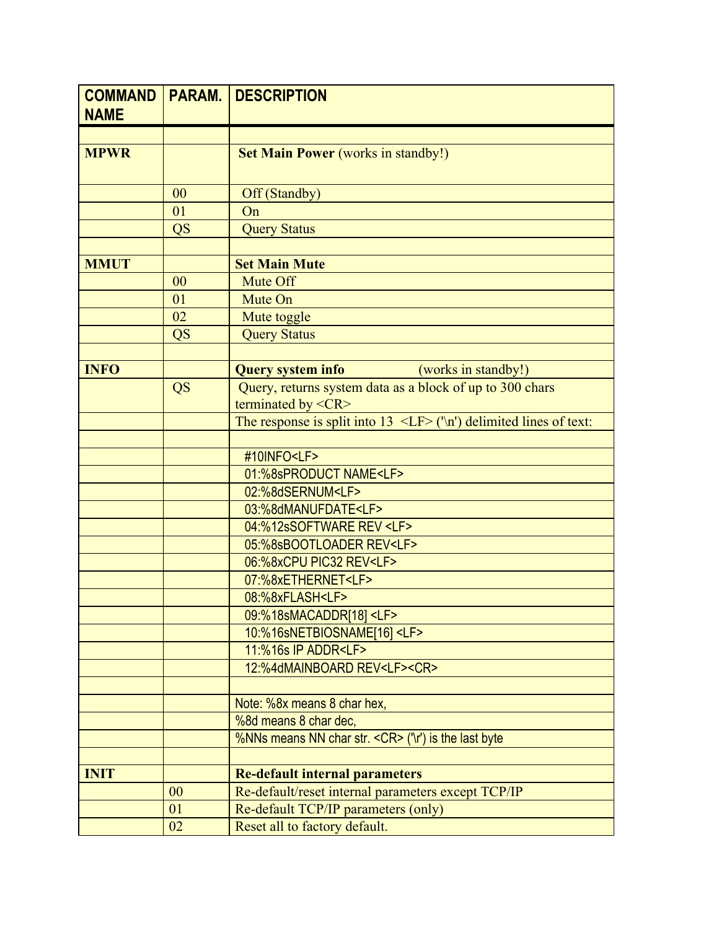| <b>COMMAND</b><br><b>NAME</b> | <b>PARAM.</b> | <b>DESCRIPTION</b>                                                                   |
|-------------------------------|---------------|--------------------------------------------------------------------------------------|
|                               |               |                                                                                      |
| <b>MPWR</b>                   |               | <b>Set Main Power (works in standby!)</b>                                            |
|                               | 00            | Off (Standby)                                                                        |
|                               | 01            | On                                                                                   |
|                               | <b>QS</b>     | <b>Query Status</b>                                                                  |
|                               |               |                                                                                      |
| <b>MMUT</b>                   |               | <b>Set Main Mute</b>                                                                 |
|                               | 00            | Mute Off                                                                             |
|                               | 01            | Mute On                                                                              |
|                               | 02            | Mute toggle                                                                          |
|                               | <b>QS</b>     | <b>Query Status</b>                                                                  |
|                               |               |                                                                                      |
| <b>INFO</b>                   |               | <b>Query system info</b><br>(works in standby!)                                      |
|                               | QS            | Query, returns system data as a block of up to 300 chars                             |
|                               |               | terminated by <cr></cr>                                                              |
|                               |               | The response is split into $13 \le \text{LF} > (\text{ln})$ delimited lines of text: |
|                               |               |                                                                                      |
|                               |               | #10INFO <lf></lf>                                                                    |
|                               |               | 01:%8sPRODUCT NAME <lf><br/>02:%8dSERNUM<lf></lf></lf>                               |
|                               |               | 03:%8dMANUFDATE <lf></lf>                                                            |
|                               |               | 04:%12sSOFTWARE REV <lf></lf>                                                        |
|                               |               | 05:%8sBOOTLOADER REV <lf></lf>                                                       |
|                               |               | 06:%8xCPU PIC32 REV <lf></lf>                                                        |
|                               |               | 07:%8xETHERNET <lf></lf>                                                             |
|                               |               | 08:%8xFLASH <lf></lf>                                                                |
|                               |               | 09:%18sMACADDR[18] <lf></lf>                                                         |
|                               |               | 10:%16sNETBIOSNAME[16] <lf></lf>                                                     |
|                               |               | 11:%16s IP ADDR <lf></lf>                                                            |
|                               |               | 12:%4dMAINBOARD REV <lf><cr></cr></lf>                                               |
|                               |               |                                                                                      |
|                               |               | Note: %8x means 8 char hex,                                                          |
|                               |               | %8d means 8 char dec,                                                                |
|                               |               | %NNs means NN char str. < CR> ('\r') is the last byte                                |
|                               |               |                                                                                      |
| <b>INIT</b>                   |               | <b>Re-default internal parameters</b>                                                |
|                               | 00            | Re-default/reset internal parameters except TCP/IP                                   |
|                               | 01            | Re-default TCP/IP parameters (only)                                                  |
|                               | 02            | Reset all to factory default.                                                        |